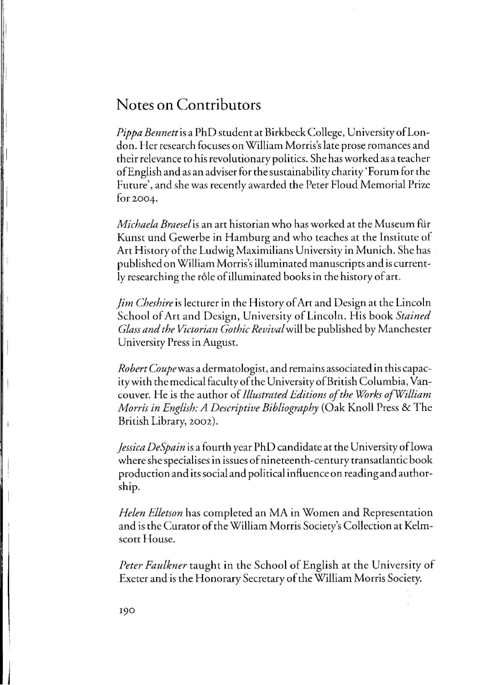## Notes **on Contributors**

*Pippa Bennettis* a PhD student at Birkbeck College, UniversityofLondon. Her research focuses on William Morris's late prose romances and their relevance to his revolutionary politics. She has worked as a teacher of English and as an adviser for the sustainability charity 'Forum for the Future', and she was recently awarded the Peter Floud Memorial Prize for 2004.

*Michaela Braeselis* an art historian who has worked at the Museum fur Kunst und Gewerbe in Hamburg and who teaches at the Institute of Art History of the Ludwig Maximilians University in Munich. She has published on William Morris's illuminated manuscripts and is currently researching the role of illuminated books in the history of art.

*Jim Cheshire* is lecturer in the History of Art and Design at the Lincoln School of Art and Design, University of Lincoln . His book *Stained Glass and the Victorian Gothic Revivalwill* be published by Manchester University Press in August.

*Robert Coupe* was a dermatologist, and remains associated in this capacitywith the medical faculty of the University of British Columbia, Vancouver. He is the author of *Illustrated Editions of the Works ofWilliam Morris in English: A Descriptive Bibliography* (Oak Knoll Press &The British Library, 2002).

*Jessica DeSpain* is a fourth year PhD candidate at the University of Iowa where she specialises in issues of nineteenth-century transatlantic book production and its social and political influence on reading and authorship.

*Helen Elletson* has completed an MA in Women and Representation and is the Curator of the William Morris Society's Collection at Kelmscott House.

*Peter Faulkner* taught in the School of English at the University of Exeter and is the Honorary Secretary of the William Morris Society.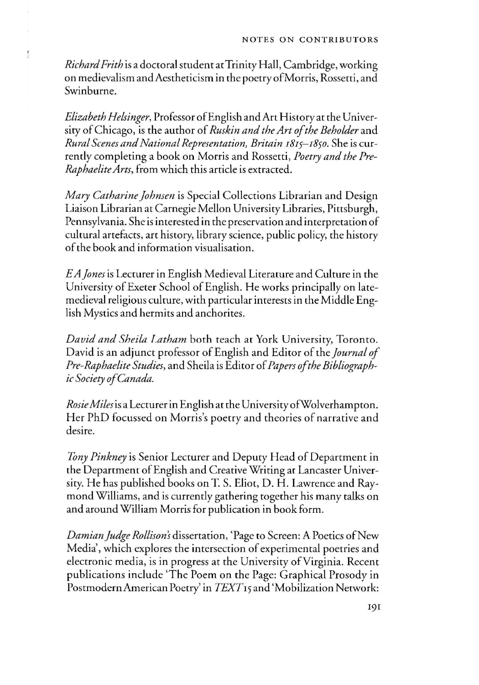*Richard Frith* is a doctoral student at Trinity Hall, Cambridge, working on medieval ism and Aestheticism in the poetry of Morris, Rossetti, and Swinburne.

ţ

*Elizabeth Helsinger*, Professor of English and Art History at the University of Chicago, is the author of *Ruskin and the Art of the Beholder* and *Rural Scenes and National Representation, Britain I8IS-I8so.* She is currently completing a book on Morris and Rossetti, *Poetry and the Pre-Raphaelite Arts,* from which this article is extracted.

*Mary Catharine Johnsen* is Special Collections Librarian and Design Liaison Librarian at Carnegie Mellon University Libraries, Pittsburgh, Pennsylvania. She is interested in the preservation and interpretation of cultural artefacts, art history, library science, public policy, the history of the book and information visualisation.

*EA Jones* is Lecturer in English Medieval Literature and Culture in the University of Exeter School of English. He works principally on latemedieval religious culture, with particular interests in the Middle English Mystics and hermits and anchorites.

*David and Sheila Latham* both teach at York University, Toronto. David is an adjunct professor of English and Editor of the *Journal of Pre-Raphaelite Studies,* and Sheila is Editor of *Papers of the Bibliographic Society of Canada.* 

*Rosie Miles* is a Lecturer in English at the UniversityofWolverhampton. Her PhD focussed on Morris's poetry and theories of narrative and desire.

*Tony Pinkney* is Senior Lecturer and Deputy Head of Department in the Department of English and Creative Writing at Lancaster University. He has published books on T. S. Eliot, D. H. Lawrence and Raymond Williams, and is currently gathering together his many talks on and around William Morris for publication in book form.

*Damian Judge Rollison's* dissertation, 'Page to Screen: A Poetics of New Media', which explores the intersection of experimental poetries and electronic media, is in progress at the University of Virginia. Recent publications include 'The Poem on the Page: Graphical Prosody in PostmodernAmerican Poetry' in *TEXTI5* and 'Mobilization Network: